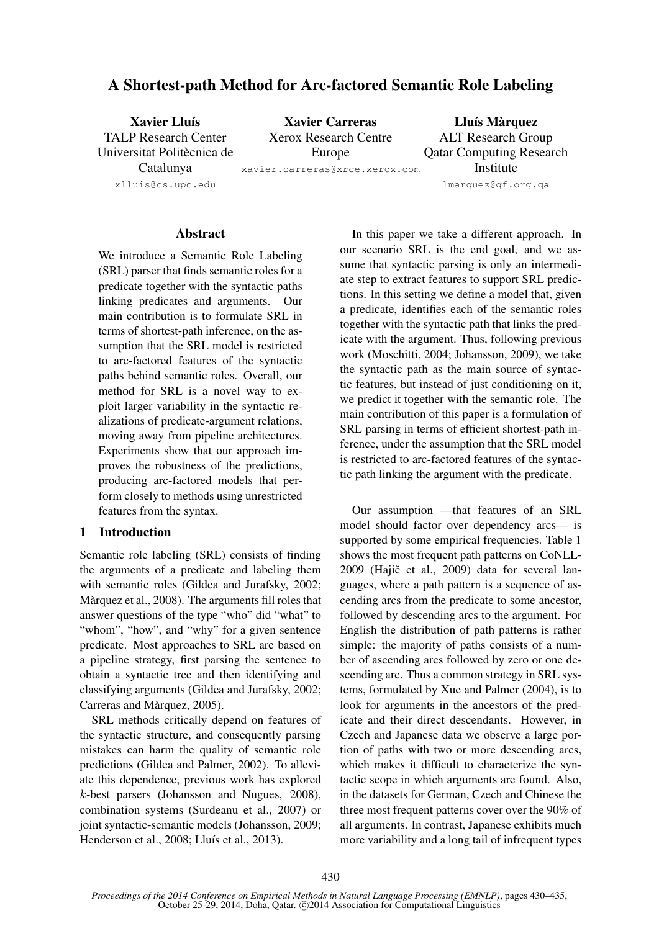# A Shortest-path Method for Arc-factored Semantic Role Labeling

| <b>Xavier Lluís</b>         | <b>Xavier Carreras</b>         | Lluís Màrquez                   |
|-----------------------------|--------------------------------|---------------------------------|
| <b>TALP Research Center</b> | <b>Xerox Research Centre</b>   | <b>ALT Research Group</b>       |
| Universitat Politècnica de  | Europe                         | <b>Qatar Computing Research</b> |
| Catalunya                   | xavier.carreras@xrce.xerox.com | Institute                       |
| xlluis@cs.upc.edu           |                                | lmarquez@qf.org.qa              |

# **Abstract**

We introduce a Semantic Role Labeling (SRL) parser that finds semantic roles for a predicate together with the syntactic paths linking predicates and arguments. Our main contribution is to formulate SRL in terms of shortest-path inference, on the assumption that the SRL model is restricted to arc-factored features of the syntactic paths behind semantic roles. Overall, our method for SRL is a novel way to exploit larger variability in the syntactic realizations of predicate-argument relations, moving away from pipeline architectures. Experiments show that our approach improves the robustness of the predictions, producing arc-factored models that perform closely to methods using unrestricted features from the syntax.

# 1 Introduction

Semantic role labeling (SRL) consists of finding the arguments of a predicate and labeling them with semantic roles (Gildea and Jurafsky, 2002; Màrquez et al., 2008). The arguments fill roles that answer questions of the type "who" did "what" to "whom", "how", and "why" for a given sentence predicate. Most approaches to SRL are based on a pipeline strategy, first parsing the sentence to obtain a syntactic tree and then identifying and classifying arguments (Gildea and Jurafsky, 2002; Carreras and Màrquez, 2005).

SRL methods critically depend on features of the syntactic structure, and consequently parsing mistakes can harm the quality of semantic role predictions (Gildea and Palmer, 2002). To alleviate this dependence, previous work has explored k-best parsers (Johansson and Nugues, 2008), combination systems (Surdeanu et al., 2007) or joint syntactic-semantic models (Johansson, 2009; Henderson et al., 2008; Lluís et al., 2013).

In this paper we take a different approach. In our scenario SRL is the end goal, and we assume that syntactic parsing is only an intermediate step to extract features to support SRL predictions. In this setting we define a model that, given a predicate, identifies each of the semantic roles together with the syntactic path that links the predicate with the argument. Thus, following previous work (Moschitti, 2004; Johansson, 2009), we take the syntactic path as the main source of syntactic features, but instead of just conditioning on it, we predict it together with the semantic role. The main contribution of this paper is a formulation of SRL parsing in terms of efficient shortest-path inference, under the assumption that the SRL model is restricted to arc-factored features of the syntactic path linking the argument with the predicate.

Our assumption —that features of an SRL model should factor over dependency arcs— is supported by some empirical frequencies. Table 1 shows the most frequent path patterns on CoNLL- $2009$  (Hajič et al.,  $2009$ ) data for several languages, where a path pattern is a sequence of ascending arcs from the predicate to some ancestor, followed by descending arcs to the argument. For English the distribution of path patterns is rather simple: the majority of paths consists of a number of ascending arcs followed by zero or one descending arc. Thus a common strategy in SRL systems, formulated by Xue and Palmer (2004), is to look for arguments in the ancestors of the predicate and their direct descendants. However, in Czech and Japanese data we observe a large portion of paths with two or more descending arcs, which makes it difficult to characterize the syntactic scope in which arguments are found. Also, in the datasets for German, Czech and Chinese the three most frequent patterns cover over the 90% of all arguments. In contrast, Japanese exhibits much more variability and a long tail of infrequent types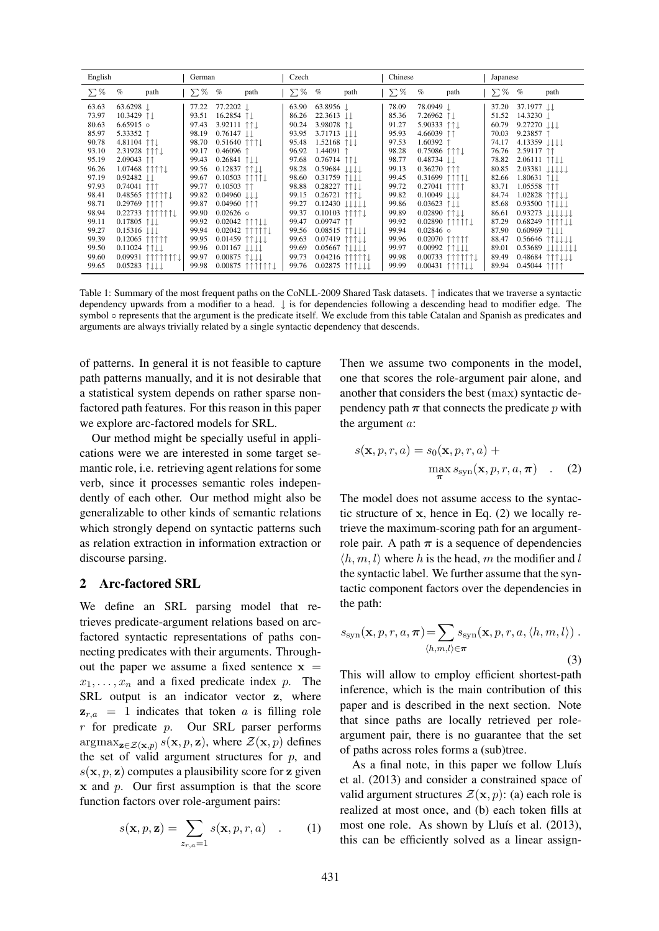| English                          |                                                                                              | German                           |                                                                        |                                                                                         | Czech                            |                                                                                              |                          | Chinese                          |                                                         |                                                                      | Japanese                         |                                                                                                                                            |                                            |
|----------------------------------|----------------------------------------------------------------------------------------------|----------------------------------|------------------------------------------------------------------------|-----------------------------------------------------------------------------------------|----------------------------------|----------------------------------------------------------------------------------------------|--------------------------|----------------------------------|---------------------------------------------------------|----------------------------------------------------------------------|----------------------------------|--------------------------------------------------------------------------------------------------------------------------------------------|--------------------------------------------|
| $\Sigma%$                        | $\%$<br>path                                                                                 | $\Sigma$ %                       | $\%$                                                                   | path                                                                                    | $\sum \%$                        | $\%$                                                                                         | path                     | $\sum \%$                        | $\%$                                                    | path                                                                 | $\Sigma\%$                       | $\%$                                                                                                                                       | path                                       |
| 63.63<br>73.97<br>80.63          | $63.6298$ $\perp$<br>10.3429 1.<br>$6.65915$ o                                               | 77.22<br>93.51<br>97.43          | 77.2202<br>16.2854 1<br>3.92111                                        | $\uparrow \uparrow \downarrow$                                                          | 63.90<br>86.26<br>90.24          | 63.8956 1<br>$22.3613$ $\downarrow \downarrow$<br>3.98078 1.                                 |                          | 78.09<br>85.36<br>91.27          | 78.0949 1<br>$7.26962$ 1.<br>5.90333                    | $\uparrow \uparrow \downarrow$                                       | 37.20<br>51.52<br>60.79          | $37.1977$ $\pm$<br>14.3230 ↓<br>9.27270 ↓↓↓                                                                                                |                                            |
| 85.97<br>90.78<br>93.10          | 5.33352 ↑<br>4.81104 111<br>2.31928 111                                                      | 98.19<br>98.70<br>99.17          | $0.76147 \downarrow \downarrow$<br>$0.46096$ 1                         | 0.51640 ↑↑↑↓                                                                            | 93.95<br>95.48<br>96.92          | $3.71713$ $\downarrow \downarrow \downarrow$<br>$1.52168$ 1.1<br>1.44091 ↑                   |                          | 95.93<br>97.53<br>98.28          | 4.66039<br>1.60392<br>0.75086                           | $\uparrow \uparrow$<br>111                                           | 70.03<br>74.17<br>76.76          | 9.23857 $\uparrow$<br>4.13359 ↓↓↓↓<br>2.59117 11                                                                                           |                                            |
| 95.19<br>96.26<br>97.19          | 2.09043 11<br>1.07468 1111<br>$0.92482$ $\downarrow \downarrow$                              | 99.43<br>99.56<br>99.67          | $0.26841$ 1.1<br>0.10503                                               | $0.12837$ $\uparrow \uparrow \downarrow \downarrow$<br>ነተተተ.                            | 97.68<br>98.28<br>98.60          | $0.76714$ 11<br>0.59684 ↓↓↓↓<br>0.31759 1111                                                 |                          | 98.77<br>99.13<br>99.45          | $0.48734$ $\downarrow \downarrow$<br>0.36270<br>0.31699 | 111<br>1111.                                                         | 78.82<br>80.85<br>82.66          | $2.06111$ 1 $\uparrow \uparrow \downarrow \downarrow$<br>$2.03381 \downarrow \downarrow \downarrow \downarrow \downarrow$<br>$1.80631$ 1.1 |                                            |
| 97.93<br>98.41<br>98.71          | $0.74041$ 111<br>$0.48565$ 11111<br>0.29769 1111                                             | 99.77<br>99.82<br>99.87          | 0.10503<br>$0.04960 \downarrow \downarrow \downarrow$<br>$0.04960$ 111 | $\uparrow \uparrow$                                                                     | 98.88<br>99.15<br>99.27          | 0.28227<br>$0.26721$ 111<br>$0.12430 \downarrow \downarrow \downarrow \downarrow \downarrow$ | 1111                     | 99.72<br>99.82<br>99.86          | 0.27041<br>0.10049<br>0.03623                           | 1111<br>TIT                                                          | 83.71<br>84.74<br>85.68          | $1.05558$ î1<br>1.02828                                                                                                                    | 1111J                                      |
| 98.94<br>99.11<br>99.27          | $0.22733$ 111111<br>$0.17805$ 1 $\downarrow$<br>$0.15316$ $\downarrow \downarrow \downarrow$ | 99.90<br>99.92<br>99.94          | $0.02626$ o<br>0.02042                                                 | 0.02042 11111<br>111 L                                                                  | 99.37<br>99.47<br>99.56          | $0.10103$ 1111<br>$0.09747$ 11<br>$0.08515$ 11.                                              |                          | 99.89<br>99.92<br>99.94          | 0.02890<br>0.02890<br>$0.02846$ o                       | ↑↓↓<br>1111<br>11111.                                                | 86.61<br>87.29<br>87.90          | 0.93500 ↑↑↓↓↓<br>0.68249<br>0.60969 ↑↓↓↓                                                                                                   | 0.93273 ↓↓↓↓↓↓<br>-11<br>MNJ               |
| 99.39<br>99.50<br>99.60<br>99.65 | 0.12065<br>11111<br>$0.11024$ 1 $\downarrow$<br>0.09931 1111111<br>$0.05283$ 1               | 99.95<br>99.96<br>99.97<br>99.98 | 0.00875                                                                | 0.01459 ↑↑↓↓↓<br>$0.01167$ $\downarrow \downarrow \downarrow \downarrow$<br>$0.00875$ 1 | 99.63<br>99.69<br>99.73<br>99.76 | 0.07419 1111<br>$0.05667$ 1<br>$0.02875$ î                                                   | $0.04216$ 11111<br>`↑↓↓↓ | 99.96<br>99.97<br>99.98<br>99.99 | 0.02070<br>0.00992<br>0.00733<br>0.00431                | 11111<br>$\uparrow \uparrow \downarrow \downarrow \downarrow$<br>11. | 88.47<br>89.01<br>89.49<br>89.94 | 0.48684<br>$0.45044$ 1111                                                                                                                  | 0.56646 ↑↑↓↓↓↓<br>0.53689 111111<br>111111 |

Table 1: Summary of the most frequent paths on the CoNLL-2009 Shared Task datasets. ↑ indicates that we traverse a syntactic dependency upwards from a modifier to a head. ↓ is for dependencies following a descending head to modifier edge. The symbol ○ represents that the argument is the predicate itself. We exclude from this table Catalan and Spanish as predicates and arguments are always trivially related by a single syntactic dependency that descends.

of patterns. In general it is not feasible to capture path patterns manually, and it is not desirable that a statistical system depends on rather sparse nonfactored path features. For this reason in this paper we explore arc-factored models for SRL.

Our method might be specially useful in applications were we are interested in some target semantic role, i.e. retrieving agent relations for some verb, since it processes semantic roles independently of each other. Our method might also be generalizable to other kinds of semantic relations which strongly depend on syntactic patterns such as relation extraction in information extraction or discourse parsing.

## 2 Arc-factored SRL

We define an SRL parsing model that retrieves predicate-argument relations based on arcfactored syntactic representations of paths connecting predicates with their arguments. Throughout the paper we assume a fixed sentence  $x =$  $x_1, \ldots, x_n$  and a fixed predicate index p. The SRL output is an indicator vector z, where  $z_{r,a}$  = 1 indicates that token a is filling role r for predicate p. Our SRL parser performs  $\arg \max_{\mathbf{z} \in \mathcal{Z}(\mathbf{x}, p)} s(\mathbf{x}, p, \mathbf{z})$ , where  $\mathcal{Z}(\mathbf{x}, p)$  defines the set of valid argument structures for  $p$ , and  $s(\mathbf{x}, p, \mathbf{z})$  computes a plausibility score for z given  $x$  and  $p$ . Our first assumption is that the score function factors over role-argument pairs:

$$
s(\mathbf{x}, p, \mathbf{z}) = \sum_{z_{r,a}=1} s(\mathbf{x}, p, r, a) \quad . \tag{1}
$$

Then we assume two components in the model, one that scores the role-argument pair alone, and another that considers the best (max) syntactic dependency path  $\pi$  that connects the predicate p with the argument a:

$$
s(\mathbf{x}, p, r, a) = s_0(\mathbf{x}, p, r, a) + \max_{\substack{\mathbf{\pi} \\ \mathbf{\pi}}} s_{\text{syn}}(\mathbf{x}, p, r, a, \mathbf{\pi}) \quad . \quad (2)
$$

The model does not assume access to the syntactic structure of x, hence in Eq. (2) we locally retrieve the maximum-scoring path for an argumentrole pair. A path  $\pi$  is a sequence of dependencies  $\langle h, m, l \rangle$  where h is the head, m the modifier and l the syntactic label. We further assume that the syntactic component factors over the dependencies in the path:

$$
s_{\rm syn}(\mathbf{x}, p, r, a, \boldsymbol{\pi}) = \sum_{\langle h, m, l \rangle \in \boldsymbol{\pi}} s_{\rm syn}(\mathbf{x}, p, r, a, \langle h, m, l \rangle) .
$$
\n(3)

This will allow to employ efficient shortest-path inference, which is the main contribution of this paper and is described in the next section. Note that since paths are locally retrieved per roleargument pair, there is no guarantee that the set of paths across roles forms a (sub)tree.

As a final note, in this paper we follow Lluís et al. (2013) and consider a constrained space of valid argument structures  $\mathcal{Z}(\mathbf{x}, p)$ : (a) each role is realized at most once, and (b) each token fills at most one role. As shown by Lluís et al.  $(2013)$ , this can be efficiently solved as a linear assign-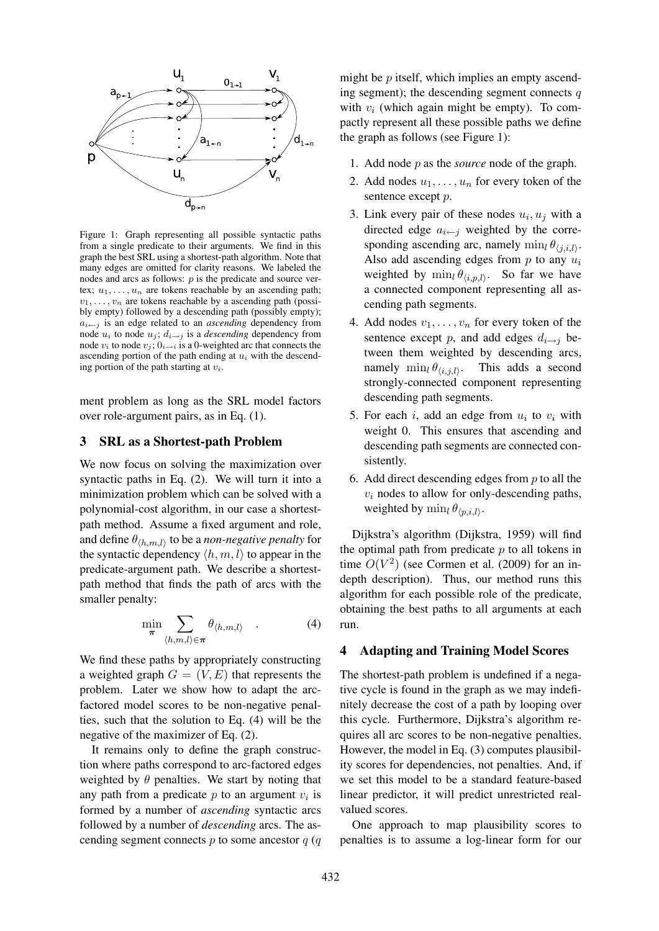

Figure 1: Graph representing all possible syntactic paths from a single predicate to their arguments. We find in this graph the best SRL using a shortest-path algorithm. Note that many edges are omitted for clarity reasons. We labeled the nodes and arcs as follows:  $p$  is the predicate and source vertex;  $u_1, \ldots, u_n$  are tokens reachable by an ascending path;  $v_1, \ldots, v_n$  are tokens reachable by a ascending path (possibly empty) followed by a descending path (possibly empty);  $a_{i \leftarrow j}$  is an edge related to an *ascending* dependency from node  $u_i$  to node  $u_j$ ;  $d_{i\rightarrow j}$  is a *descending* dependency from node  $v_i$  to node  $v_j$ ;  $0_{i\rightarrow i}$  is a 0-weighted arc that connects the ascending portion of the path ending at  $u_i$  with the descending portion of the path starting at  $v_i$ .

ment problem as long as the SRL model factors over role-argument pairs, as in Eq. (1).

# 3 SRL as a Shortest-path Problem

We now focus on solving the maximization over syntactic paths in Eq. (2). We will turn it into a minimization problem which can be solved with a polynomial-cost algorithm, in our case a shortestpath method. Assume a fixed argument and role, and define  $\theta_{\langle h,m,l \rangle}$  to be a *non-negative penalty* for the syntactic dependency  $\langle h, m, l \rangle$  to appear in the predicate-argument path. We describe a shortestpath method that finds the path of arcs with the smaller penalty:

$$
\min_{\boldsymbol{\pi}} \sum_{\langle h,m,l\rangle \in \boldsymbol{\pi}} \theta_{\langle h,m,l\rangle} \quad . \tag{4}
$$

We find these paths by appropriately constructing a weighted graph  $G = (V, E)$  that represents the problem. Later we show how to adapt the arcfactored model scores to be non-negative penalties, such that the solution to Eq. (4) will be the negative of the maximizer of Eq. (2).

It remains only to define the graph construction where paths correspond to arc-factored edges weighted by  $\theta$  penalties. We start by noting that any path from a predicate  $p$  to an argument  $v_i$  is formed by a number of *ascending* syntactic arcs followed by a number of *descending* arcs. The ascending segment connects  $p$  to some ancestor  $q$  ( $q$ 

might be  $p$  itself, which implies an empty ascending segment); the descending segment connects  $q$ with  $v_i$  (which again might be empty). To compactly represent all these possible paths we define the graph as follows (see Figure 1):

- 1. Add node p as the *source* node of the graph.
- 2. Add nodes  $u_1, \ldots, u_n$  for every token of the sentence except  $p$ .
- 3. Link every pair of these nodes  $u_i, u_j$  with a directed edge  $a_{i \leftarrow j}$  weighted by the corresponding ascending arc, namely  $\min_l \theta_{\langle j,i,l \rangle}$ . Also add ascending edges from  $p$  to any  $u_i$ weighted by  $\min_l \theta_{\langle i, p, l \rangle}$ . So far we have a connected component representing all ascending path segments.
- 4. Add nodes  $v_1, \ldots, v_n$  for every token of the sentence except p, and add edges  $d_{i\rightarrow j}$  between them weighted by descending arcs, namely  $\min_l \theta_{\langle i,j,l \rangle}$ . This adds a second strongly-connected component representing descending path segments.
- 5. For each i, add an edge from  $u_i$  to  $v_i$  with weight 0. This ensures that ascending and descending path segments are connected consistently.
- 6. Add direct descending edges from  $p$  to all the  $v_i$  nodes to allow for only-descending paths, weighted by  $\min_l \theta_{\langle p,i,l\rangle}$ .

Dijkstra's algorithm (Dijkstra, 1959) will find the optimal path from predicate  $p$  to all tokens in time  $O(V^2)$  (see Cormen et al. (2009) for an indepth description). Thus, our method runs this algorithm for each possible role of the predicate, obtaining the best paths to all arguments at each run.

#### 4 Adapting and Training Model Scores

The shortest-path problem is undefined if a negative cycle is found in the graph as we may indefinitely decrease the cost of a path by looping over this cycle. Furthermore, Dijkstra's algorithm requires all arc scores to be non-negative penalties. However, the model in Eq. (3) computes plausibility scores for dependencies, not penalties. And, if we set this model to be a standard feature-based linear predictor, it will predict unrestricted realvalued scores.

One approach to map plausibility scores to penalties is to assume a log-linear form for our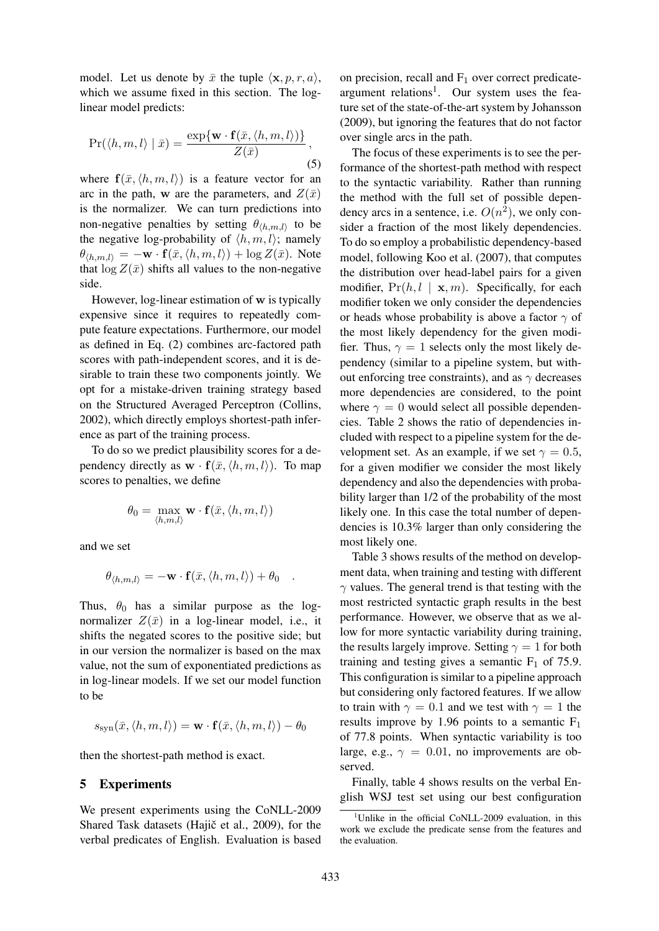model. Let us denote by  $\bar{x}$  the tuple  $\langle x, p, r, a \rangle$ , which we assume fixed in this section. The loglinear model predicts:

$$
\Pr(\langle h, m, l \rangle \mid \bar{x}) = \frac{\exp\{\mathbf{w} \cdot \mathbf{f}(\bar{x}, \langle h, m, l \rangle)\}}{Z(\bar{x})},
$$
\n(5)

where  $f(\bar{x}, \langle h, m, l \rangle)$  is a feature vector for an arc in the path, w are the parameters, and  $Z(\bar{x})$ is the normalizer. We can turn predictions into non-negative penalties by setting  $\theta_{\langle h,m,l\rangle}$  to be the negative log-probability of  $\langle h, m, l \rangle$ ; namely  $\theta_{\langle h,m,l \rangle} = -\mathbf{w} \cdot \mathbf{f}(\bar{x},\langle h,m,l \rangle) + \log Z(\bar{x})$ . Note that  $\log Z(\bar{x})$  shifts all values to the non-negative side.

However, log-linear estimation of w is typically expensive since it requires to repeatedly compute feature expectations. Furthermore, our model as defined in Eq. (2) combines arc-factored path scores with path-independent scores, and it is desirable to train these two components jointly. We opt for a mistake-driven training strategy based on the Structured Averaged Perceptron (Collins, 2002), which directly employs shortest-path inference as part of the training process.

To do so we predict plausibility scores for a dependency directly as  $\mathbf{w} \cdot \mathbf{f}(\bar{x}, \langle h, m, l \rangle)$ . To map scores to penalties, we define

$$
\theta_0 = \max_{\langle h,m,l\rangle} \mathbf{w} \cdot \mathbf{f}(\bar{x}, \langle h,m,l\rangle)
$$

and we set

$$
\theta_{\langle h,m,l\rangle} = -\mathbf{w} \cdot \mathbf{f}(\bar{x},\langle h,m,l\rangle) + \theta_0.
$$

Thus,  $\theta_0$  has a similar purpose as the lognormalizer  $Z(\bar{x})$  in a log-linear model, i.e., it shifts the negated scores to the positive side; but in our version the normalizer is based on the max value, not the sum of exponentiated predictions as in log-linear models. If we set our model function to be

$$
s_{\rm syn}(\bar{x},\langle h,m,l\rangle) = \mathbf{w} \cdot \mathbf{f}(\bar{x},\langle h,m,l\rangle) - \theta_0
$$

then the shortest-path method is exact.

#### 5 Experiments

We present experiments using the CoNLL-2009 Shared Task datasets (Hajič et al., 2009), for the verbal predicates of English. Evaluation is based

on precision, recall and  $F_1$  over correct predicateargument relations<sup>1</sup>. Our system uses the feature set of the state-of-the-art system by Johansson (2009), but ignoring the features that do not factor over single arcs in the path.

The focus of these experiments is to see the performance of the shortest-path method with respect to the syntactic variability. Rather than running the method with the full set of possible dependency arcs in a sentence, i.e.  $O(n^2)$ , we only consider a fraction of the most likely dependencies. To do so employ a probabilistic dependency-based model, following Koo et al. (2007), that computes the distribution over head-label pairs for a given modifier,  $Pr(h, l \mid \mathbf{x}, m)$ . Specifically, for each modifier token we only consider the dependencies or heads whose probability is above a factor  $\gamma$  of the most likely dependency for the given modifier. Thus,  $\gamma = 1$  selects only the most likely dependency (similar to a pipeline system, but without enforcing tree constraints), and as  $\gamma$  decreases more dependencies are considered, to the point where  $\gamma = 0$  would select all possible dependencies. Table 2 shows the ratio of dependencies included with respect to a pipeline system for the development set. As an example, if we set  $\gamma = 0.5$ , for a given modifier we consider the most likely dependency and also the dependencies with probability larger than 1/2 of the probability of the most likely one. In this case the total number of dependencies is 10.3% larger than only considering the most likely one.

Table 3 shows results of the method on development data, when training and testing with different  $\gamma$  values. The general trend is that testing with the most restricted syntactic graph results in the best performance. However, we observe that as we allow for more syntactic variability during training, the results largely improve. Setting  $\gamma = 1$  for both training and testing gives a semantic  $F_1$  of 75.9. This configuration is similar to a pipeline approach but considering only factored features. If we allow to train with  $\gamma = 0.1$  and we test with  $\gamma = 1$  the results improve by 1.96 points to a semantic  $F_1$ of 77.8 points. When syntactic variability is too large, e.g.,  $\gamma = 0.01$ , no improvements are observed.

Finally, table 4 shows results on the verbal English WSJ test set using our best configuration

<sup>&</sup>lt;sup>1</sup>Unlike in the official CoNLL-2009 evaluation, in this work we exclude the predicate sense from the features and the evaluation.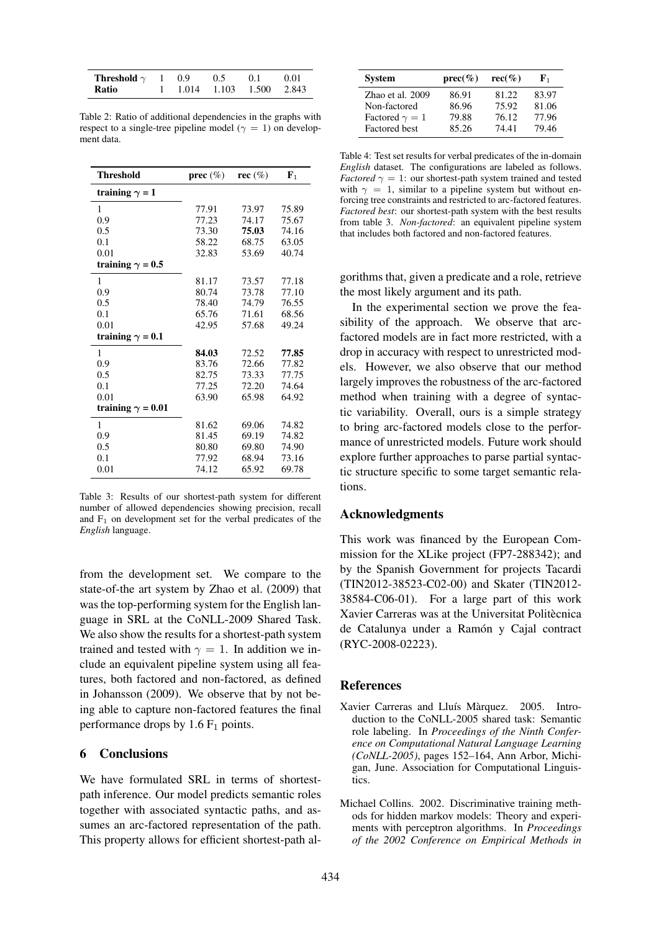| Threshold $\gamma$ | 1 0.9 | 0.5                                                 | 0.1 | -0.01 |
|--------------------|-------|-----------------------------------------------------|-----|-------|
| Ratio              |       | $1 \quad 1.014 \quad 1.103 \quad 1.500 \quad 2.843$ |     |       |

Table 2: Ratio of additional dependencies in the graphs with respect to a single-tree pipeline model ( $\gamma = 1$ ) on development data.

| <b>Threshold</b>         | prec $(\%)$ | rec $(\%)$ | ${\bf F}_1$ |
|--------------------------|-------------|------------|-------------|
| training $\gamma = 1$    |             |            |             |
| 1                        | 77.91       | 73.97      | 75.89       |
| 0.9                      | 77.23       | 74.17      | 75.67       |
| 0.5                      | 73.30       | 75.03      | 74.16       |
| 0.1                      | 58.22       | 68.75      | 63.05       |
| 0.01                     | 32.83       | 53.69      | 40.74       |
| training $\gamma = 0.5$  |             |            |             |
| 1                        | 81.17       | 73.57      | 77.18       |
| 0.9                      | 80.74       | 73.78      | 77.10       |
| 0.5                      | 78.40       | 74.79      | 76.55       |
| 0.1                      | 65.76       | 71.61      | 68.56       |
| 0.01                     | 42.95       | 57.68      | 49.24       |
| training $\gamma = 0.1$  |             |            |             |
| 1                        | 84.03       | 72.52      | 77.85       |
| 0.9                      | 83.76       | 72.66      | 77.82       |
| 0.5                      | 82.75       | 73.33      | 77.75       |
| 0.1                      | 77.25       | 72.20      | 74.64       |
| 0.01                     | 63.90       | 65.98      | 64.92       |
| training $\gamma = 0.01$ |             |            |             |
| 1                        | 81.62       | 69.06      | 74.82       |
| 0.9                      | 81.45       | 69.19      | 74.82       |
| 0.5                      | 80.80       | 69.80      | 74.90       |
| 0.1                      | 77.92       | 68.94      | 73.16       |
| 0.01                     | 74.12       | 65.92      | 69.78       |

Table 3: Results of our shortest-path system for different number of allowed dependencies showing precision, recall and  $F_1$  on development set for the verbal predicates of the *English* language.

from the development set. We compare to the state-of-the art system by Zhao et al. (2009) that was the top-performing system for the English language in SRL at the CoNLL-2009 Shared Task. We also show the results for a shortest-path system trained and tested with  $\gamma = 1$ . In addition we include an equivalent pipeline system using all features, both factored and non-factored, as defined in Johansson (2009). We observe that by not being able to capture non-factored features the final performance drops by  $1.6 \text{ F}_1$  points.

## 6 Conclusions

We have formulated SRL in terms of shortestpath inference. Our model predicts semantic roles together with associated syntactic paths, and assumes an arc-factored representation of the path. This property allows for efficient shortest-path al-

| <b>System</b>         | $prec(\%)$ | $rec(\% )$ | ${\bf F}_1$ |
|-----------------------|------------|------------|-------------|
| Zhao et al. 2009      | 86.91      | 81.22      | 83.97       |
| Non-factored          | 86.96      | 75.92      | 81.06       |
| Factored $\gamma = 1$ | 79.88      | 76.12      | 77.96       |
| Factored best         | 85.26      | 74.41      | 79.46       |

Table 4: Test set results for verbal predicates of the in-domain *English* dataset. The configurations are labeled as follows. *Factored*  $\gamma = 1$ : our shortest-path system trained and tested with  $\gamma = 1$ , similar to a pipeline system but without enforcing tree constraints and restricted to arc-factored features. *Factored best*: our shortest-path system with the best results from table 3. *Non-factored*: an equivalent pipeline system that includes both factored and non-factored features.

gorithms that, given a predicate and a role, retrieve the most likely argument and its path.

In the experimental section we prove the feasibility of the approach. We observe that arcfactored models are in fact more restricted, with a drop in accuracy with respect to unrestricted models. However, we also observe that our method largely improves the robustness of the arc-factored method when training with a degree of syntactic variability. Overall, ours is a simple strategy to bring arc-factored models close to the performance of unrestricted models. Future work should explore further approaches to parse partial syntactic structure specific to some target semantic relations.

## Acknowledgments

This work was financed by the European Commission for the XLike project (FP7-288342); and by the Spanish Government for projects Tacardi (TIN2012-38523-C02-00) and Skater (TIN2012- 38584-C06-01). For a large part of this work Xavier Carreras was at the Universitat Politècnica de Catalunya under a Ramón y Cajal contract (RYC-2008-02223).

## **References**

- Xavier Carreras and Lluís Màrquez. 2005. Introduction to the CoNLL-2005 shared task: Semantic role labeling. In *Proceedings of the Ninth Conference on Computational Natural Language Learning (CoNLL-2005)*, pages 152–164, Ann Arbor, Michigan, June. Association for Computational Linguistics.
- Michael Collins. 2002. Discriminative training methods for hidden markov models: Theory and experiments with perceptron algorithms. In *Proceedings of the 2002 Conference on Empirical Methods in*